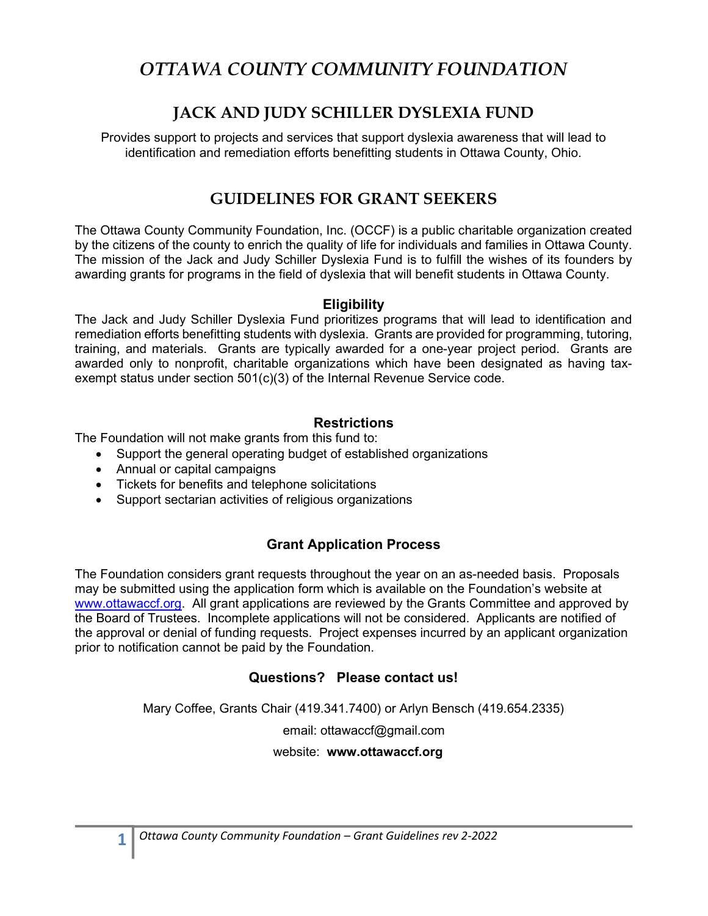# OTTAWA COUNTY COMMUNITY FOUNDATION

# JACK AND JUDY SCHILLER DYSLEXIA FUND

Provides support to projects and services that support dyslexia awareness that will lead to identification and remediation efforts benefitting students in Ottawa County, Ohio.

### GUIDELINES FOR GRANT SEEKERS

The Ottawa County Community Foundation, Inc. (OCCF) is a public charitable organization created by the citizens of the county to enrich the quality of life for individuals and families in Ottawa County. The mission of the Jack and Judy Schiller Dyslexia Fund is to fulfill the wishes of its founders by awarding grants for programs in the field of dyslexia that will benefit students in Ottawa County.

#### **Eligibility**

The Jack and Judy Schiller Dyslexia Fund prioritizes programs that will lead to identification and remediation efforts benefitting students with dyslexia. Grants are provided for programming, tutoring, training, and materials. Grants are typically awarded for a one-year project period. Grants are awarded only to nonprofit, charitable organizations which have been designated as having taxexempt status under section 501(c)(3) of the Internal Revenue Service code.

#### **Restrictions**

The Foundation will not make grants from this fund to:

- Support the general operating budget of established organizations
- Annual or capital campaigns
- Tickets for benefits and telephone solicitations
- Support sectarian activities of religious organizations

### Grant Application Process

The Foundation considers grant requests throughout the year on an as-needed basis. Proposals may be submitted using the application form which is available on the Foundation's website at www.ottawaccf.org. All grant applications are reviewed by the Grants Committee and approved by the Board of Trustees. Incomplete applications will not be considered. Applicants are notified of the approval or denial of funding requests. Project expenses incurred by an applicant organization prior to notification cannot be paid by the Foundation.

### Questions? Please contact us!

Mary Coffee, Grants Chair (419.341.7400) or Arlyn Bensch (419.654.2335)

email: ottawaccf@gmail.com

website: www.ottawaccf.org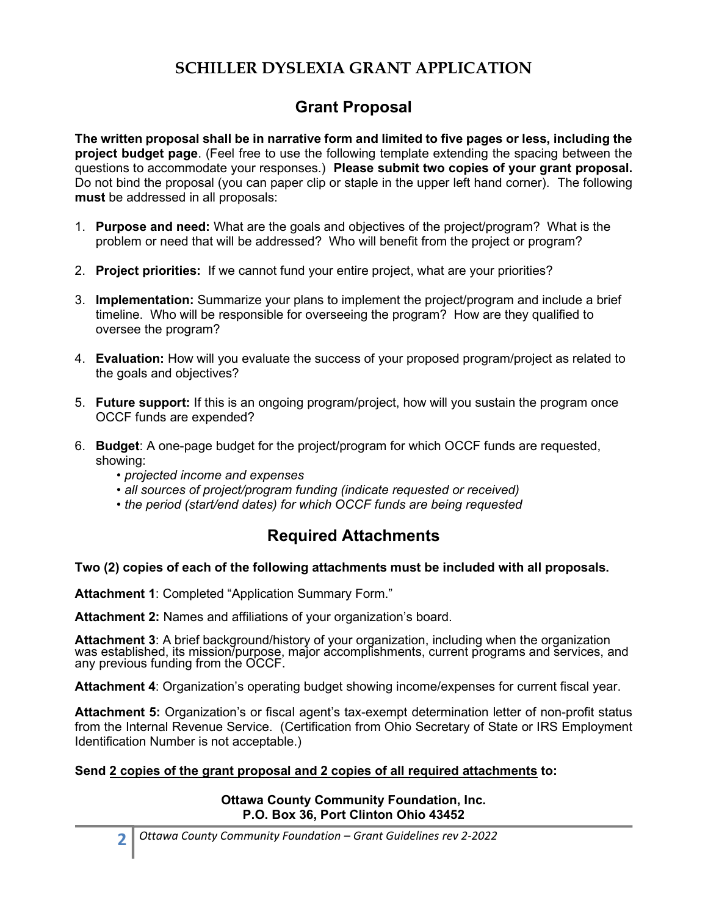# SCHILLER DYSLEXIA GRANT APPLICATION

# Grant Proposal

The written proposal shall be in narrative form and limited to five pages or less, including the project budget page. (Feel free to use the following template extending the spacing between the questions to accommodate your responses.) Please submit two copies of your grant proposal. Do not bind the proposal (you can paper clip or staple in the upper left hand corner). The following must be addressed in all proposals:

- 1. **Purpose and need:** What are the goals and objectives of the project/program? What is the problem or need that will be addressed? Who will benefit from the project or program?
- 2. Project priorities: If we cannot fund your entire project, what are your priorities?
- 3. Implementation: Summarize your plans to implement the project/program and include a brief timeline. Who will be responsible for overseeing the program? How are they qualified to oversee the program?
- 4. Evaluation: How will you evaluate the success of your proposed program/project as related to the goals and objectives?
- 5. Future support: If this is an ongoing program/project, how will you sustain the program once OCCF funds are expended?
- 6. Budget: A one-page budget for the project/program for which OCCF funds are requested, showing:
	- projected income and expenses
	- all sources of project/program funding (indicate requested or received)
	- the period (start/end dates) for which OCCF funds are being requested

### Required Attachments

#### Two (2) copies of each of the following attachments must be included with all proposals.

Attachment 1: Completed "Application Summary Form."

Attachment 2: Names and affiliations of your organization's board.

Attachment 3: A brief background/history of your organization, including when the organization was established, its mission/purpose, major accomplishments, current programs and services, and any previous funding from the OCCF.

Attachment 4: Organization's operating budget showing income/expenses for current fiscal year.

Attachment 5: Organization's or fiscal agent's tax-exempt determination letter of non-profit status from the Internal Revenue Service. (Certification from Ohio Secretary of State or IRS Employment Identification Number is not acceptable.)

#### Send 2 copies of the grant proposal and 2 copies of all required attachments to:

#### Ottawa County Community Foundation, Inc. P.O. Box 36, Port Clinton Ohio 43452

2